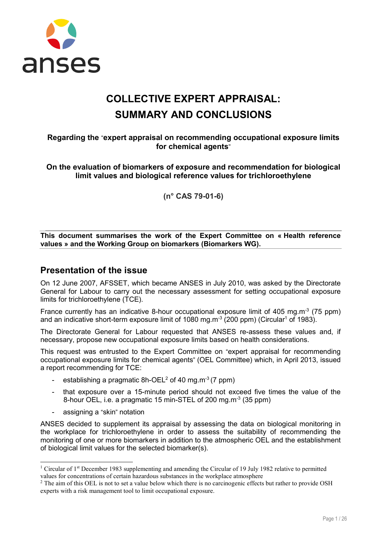

# COLLECTIVE EXPERT APPRAISAL: SUMMARY AND CONCLUSIONS

## Regarding the "expert appraisal on recommending occupational exposure limits for chemical agents"

On the evaluation of biomarkers of exposure and recommendation for biological limit values and biological reference values for trichloroethylene

(n° CAS 79-01-6)

This document summarises the work of the Expert Committee on « Health reference values » and the Working Group on biomarkers (Biomarkers WG).

## Presentation of the issue

On 12 June 2007, AFSSET, which became ANSES in July 2010, was asked by the Directorate General for Labour to carry out the necessary assessment for setting occupational exposure limits for trichloroethylene (TCE).

France currently has an indicative 8-hour occupational exposure limit of 405 mg.m<sup>-3</sup> (75 ppm) and an indicative short-term exposure limit of 1080 mg.m<sup>-3</sup> (200 ppm) (Circular<sup>1</sup> of 1983).

The Directorate General for Labour requested that ANSES re-assess these values and, if necessary, propose new occupational exposure limits based on health considerations.

This request was entrusted to the Expert Committee on "expert appraisal for recommending occupational exposure limits for chemical agents" (OEL Committee) which, in April 2013, issued a report recommending for TCE:

- establishing a pragmatic  $8h-OEL^2$  of 40 mg.m<sup>-3</sup> (7 ppm)
- that exposure over a 15-minute period should not exceed five times the value of the 8-hour OEL, i.e. a pragmatic 15 min-STEL of 200 mg.m<sup>-3</sup> (35 ppm)
- assigning a "skin" notation

ANSES decided to supplement its appraisal by assessing the data on biological monitoring in the workplace for trichloroethylene in order to assess the suitability of recommending the monitoring of one or more biomarkers in addition to the atmospheric OEL and the establishment of biological limit values for the selected biomarker(s).

<sup>&</sup>lt;sup>1</sup> Circular of 1<sup>st</sup> December 1983 supplementing and amending the Circular of 19 July 1982 relative to permitted values for concentrations of certain hazardous substances in the workplace atmosphere

 $2$  The aim of this OEL is not to set a value below which there is no carcinogenic effects but rather to provide OSH experts with a risk management tool to limit occupational exposure.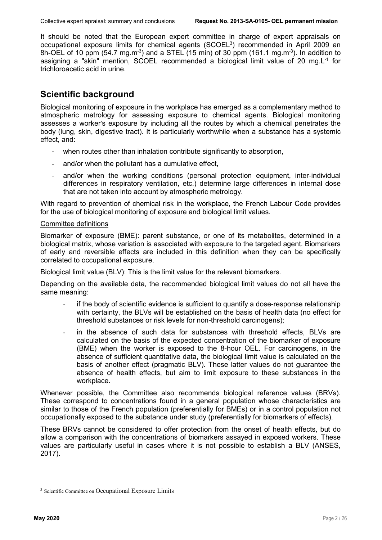It should be noted that the European expert committee in charge of expert appraisals on occupational exposure limits for chemical agents (SCOEL<sup>3</sup>) recommended in April 2009 an 8h-OEL of 10 ppm (54.7 mg.m<sup>-3</sup>) and a STEL (15 min) of 30 ppm (161.1 mg.m<sup>-3</sup>). In addition to assigning a "skin" mention, SCOEL recommended a biological limit value of 20 mg. $L^{-1}$  for trichloroacetic acid in urine.

## Scientific background

Biological monitoring of exposure in the workplace has emerged as a complementary method to atmospheric metrology for assessing exposure to chemical agents. Biological monitoring assesses a worker's exposure by including all the routes by which a chemical penetrates the body (lung, skin, digestive tract). It is particularly worthwhile when a substance has a systemic effect, and:

- when routes other than inhalation contribute significantly to absorption,
- and/or when the pollutant has a cumulative effect,
- and/or when the working conditions (personal protection equipment, inter-individual differences in respiratory ventilation, etc.) determine large differences in internal dose that are not taken into account by atmospheric metrology.

With regard to prevention of chemical risk in the workplace, the French Labour Code provides for the use of biological monitoring of exposure and biological limit values.

#### Committee definitions

Biomarker of exposure (BME): parent substance, or one of its metabolites, determined in a biological matrix, whose variation is associated with exposure to the targeted agent. Biomarkers of early and reversible effects are included in this definition when they can be specifically correlated to occupational exposure.

Biological limit value (BLV): This is the limit value for the relevant biomarkers.

Depending on the available data, the recommended biological limit values do not all have the same meaning:

- if the body of scientific evidence is sufficient to quantify a dose-response relationship with certainty, the BLVs will be established on the basis of health data (no effect for threshold substances or risk levels for non-threshold carcinogens);
- in the absence of such data for substances with threshold effects, BLVs are calculated on the basis of the expected concentration of the biomarker of exposure (BME) when the worker is exposed to the 8-hour OEL. For carcinogens, in the absence of sufficient quantitative data, the biological limit value is calculated on the basis of another effect (pragmatic BLV). These latter values do not guarantee the absence of health effects, but aim to limit exposure to these substances in the workplace.

Whenever possible, the Committee also recommends biological reference values (BRVs). These correspond to concentrations found in a general population whose characteristics are similar to those of the French population (preferentially for BMEs) or in a control population not occupationally exposed to the substance under study (preferentially for biomarkers of effects).

These BRVs cannot be considered to offer protection from the onset of health effects, but do allow a comparison with the concentrations of biomarkers assayed in exposed workers. These values are particularly useful in cases where it is not possible to establish a BLV (ANSES, 2017).

<sup>&</sup>lt;sup>3</sup> Scientific Committee on Occupational Exposure Limits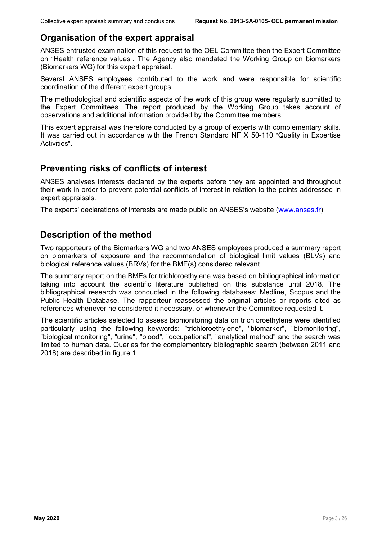## Organisation of the expert appraisal

ANSES entrusted examination of this request to the OEL Committee then the Expert Committee on "Health reference values". The Agency also mandated the Working Group on biomarkers (Biomarkers WG) for this expert appraisal.

Several ANSES employees contributed to the work and were responsible for scientific coordination of the different expert groups.

The methodological and scientific aspects of the work of this group were regularly submitted to the Expert Committees. The report produced by the Working Group takes account of observations and additional information provided by the Committee members.

This expert appraisal was therefore conducted by a group of experts with complementary skills. It was carried out in accordance with the French Standard NF X 50-110 "Quality in Expertise Activities".

## Preventing risks of conflicts of interest

ANSES analyses interests declared by the experts before they are appointed and throughout their work in order to prevent potential conflicts of interest in relation to the points addressed in expert appraisals.

The experts' declarations of interests are made public on ANSES's website (www.anses.fr).

## Description of the method

Two rapporteurs of the Biomarkers WG and two ANSES employees produced a summary report on biomarkers of exposure and the recommendation of biological limit values (BLVs) and biological reference values (BRVs) for the BME(s) considered relevant.

The summary report on the BMEs for trichloroethylene was based on bibliographical information taking into account the scientific literature published on this substance until 2018. The bibliographical research was conducted in the following databases: Medline, Scopus and the Public Health Database. The rapporteur reassessed the original articles or reports cited as references whenever he considered it necessary, or whenever the Committee requested it.

The scientific articles selected to assess biomonitoring data on trichloroethylene were identified particularly using the following keywords: "trichloroethylene", "biomarker", "biomonitoring", "biological monitoring", "urine", "blood", "occupational", "analytical method" and the search was limited to human data. Queries for the complementary bibliographic search (between 2011 and 2018) are described in figure 1.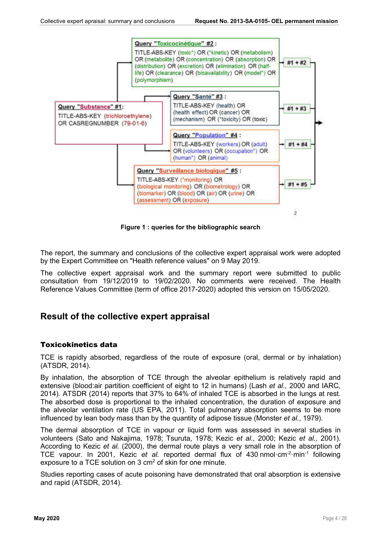

Figure 1 : queries for the bibliographic search

The report, the summary and conclusions of the collective expert appraisal work were adopted by the Expert Committee on "Health reference values" on 9 May 2019.

The collective expert appraisal work and the summary report were submitted to public consultation from 19/12/2019 to 19/02/2020. No comments were received. The Health Reference Values Committee (term of office 2017-2020) adopted this version on 15/05/2020.

## Result of the collective expert appraisal

## Toxicokinetics data

TCE is rapidly absorbed, regardless of the route of exposure (oral, dermal or by inhalation) (ATSDR, 2014).

By inhalation, the absorption of TCE through the alveolar epithelium is relatively rapid and extensive (blood:air partition coefficient of eight to 12 in humans) (Lash *et al.,* 2000 and IARC, 2014). ATSDR (2014) reports that 37% to 64% of inhaled TCE is absorbed in the lungs at rest. The absorbed dose is proportional to the inhaled concentration, the duration of exposure and the alveolar ventilation rate (US EPA, 2011). Total pulmonary absorption seems to be more influenced by lean body mass than by the quantity of adipose tissue (Monster *et al.*, 1979).

The dermal absorption of TCE in vapour or liquid form was assessed in several studies in volunteers (Sato and Nakajima, 1978; Tsuruta, 1978; Kezic *et al.*, 2000; Kezic *et al.,* 2001). According to Kezic *et al.* (2000), the dermal route plays a very small role in the absorption of TCE vapour. In 2001, Kezic *et al.* reported dermal flux of 430 nmol·cm<sup>-2</sup>·min<sup>-1</sup> following exposure to a TCE solution on 3 cm<sup>2</sup> of skin for one minute.

Studies reporting cases of acute poisoning have demonstrated that oral absorption is extensive and rapid (ATSDR, 2014).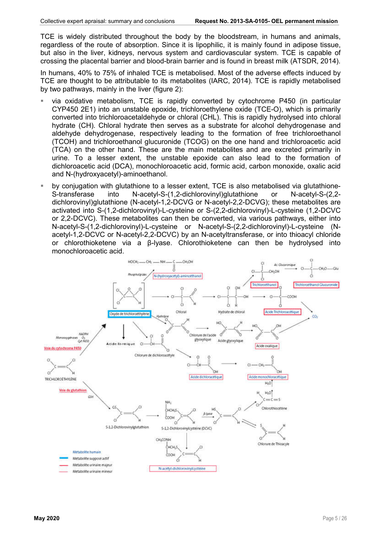TCE is widely distributed throughout the body by the bloodstream, in humans and animals, regardless of the route of absorption. Since it is lipophilic, it is mainly found in adipose tissue, but also in the liver, kidneys, nervous system and cardiovascular system. TCE is capable of crossing the placental barrier and blood-brain barrier and is found in breast milk (ATSDR, 2014).

In humans, 40% to 75% of inhaled TCE is metabolised. Most of the adverse effects induced by TCE are thought to be attributable to its metabolites (IARC, 2014). TCE is rapidly metabolised by two pathways, mainly in the liver (figure 2):

- via oxidative metabolism, TCE is rapidly converted by cytochrome P450 (in particular CYP450 2E1) into an unstable epoxide, trichloroethylene oxide (TCE-O), which is primarily converted into trichloroacetaldehyde or chloral (CHL). This is rapidly hydrolysed into chloral hydrate (CH). Chloral hydrate then serves as a substrate for alcohol dehydrogenase and aldehyde dehydrogenase, respectively leading to the formation of free trichloroethanol (TCOH) and trichloroethanol glucuronide (TCOG) on the one hand and trichloroacetic acid (TCA) on the other hand. These are the main metabolites and are excreted primarily in urine. To a lesser extent, the unstable epoxide can also lead to the formation of dichloroacetic acid (DCA), monochloroacetic acid, formic acid, carbon monoxide, oxalic acid and N-(hydroxyacetyl)-aminoethanol.
- by conjugation with glutathione to a lesser extent, TCE is also metabolised via glutathione-S-transferase into N-acetyl-S-(1,2-dichlorovinyl)glutathione or N-acetyl-S-(2,2 dichlorovinyl)glutathione (N-acetyl-1,2-DCVG or N-acetyl-2,2-DCVG); these metabolites are activated into S-(1,2-dichlorovinyl)-L-cysteine or S-(2,2-dichlorovinyl)-L-cysteine (1,2-DCVC or 2,2-DCVC). These metabolites can then be converted, via various pathways, either into N-acetyl-S-(1,2-dichlorovinyl)-L-cysteine or N-acetyl-S-(2,2-dichlorovinyl)-L-cysteine (Nacetyl-1,2-DCVC or N-acetyl-2,2-DCVC) by an N-acetyltransferase, or into thioacyl chloride or chlorothioketene via a β-lyase. Chlorothioketene can then be hydrolysed into monochloroacetic acid.

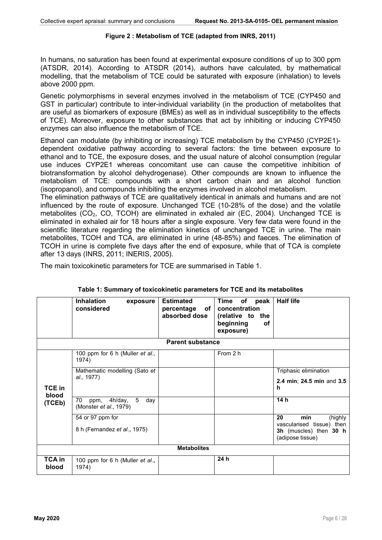#### Figure 2 : Metabolism of TCE (adapted from INRS, 2011)

In humans, no saturation has been found at experimental exposure conditions of up to 300 ppm (ATSDR, 2014). According to ATSDR (2014), authors have calculated, by mathematical modelling, that the metabolism of TCE could be saturated with exposure (inhalation) to levels above 2000 ppm.

Genetic polymorphisms in several enzymes involved in the metabolism of TCE (CYP450 and GST in particular) contribute to inter-individual variability (in the production of metabolites that are useful as biomarkers of exposure (BMEs) as well as in individual susceptibility to the effects of TCE). Moreover, exposure to other substances that act by inhibiting or inducing CYP450 enzymes can also influence the metabolism of TCE.

Ethanol can modulate (by inhibiting or increasing) TCE metabolism by the CYP450 (CYP2E1) dependent oxidative pathway according to several factors: the time between exposure to ethanol and to TCE, the exposure doses, and the usual nature of alcohol consumption (regular use induces CYP2E1 whereas concomitant use can cause the competitive inhibition of biotransformation by alcohol dehydrogenase). Other compounds are known to influence the metabolism of TCE: compounds with a short carbon chain and an alcohol function (isopropanol), and compounds inhibiting the enzymes involved in alcohol metabolism.

The elimination pathways of TCE are qualitatively identical in animals and humans and are not influenced by the route of exposure. Unchanged TCE (10-28% of the dose) and the volatile metabolites  $(CO<sub>2</sub>, CO, TCOH)$  are eliminated in exhaled air (EC, 2004). Unchanged TCE is eliminated in exhaled air for 18 hours after a single exposure. Very few data were found in the scientific literature regarding the elimination kinetics of unchanged TCE in urine. The main metabolites, TCOH and TCA, are eliminated in urine (48-85%) and faeces. The elimination of TCOH in urine is complete five days after the end of exposure, while that of TCA is complete after 13 days (INRS, 2011; INERIS, 2005).

The main toxicokinetic parameters for TCE are summarised in Table 1.

|                 | <b>Inhalation</b><br>exposure<br>considered                 | <b>Estimated</b><br>percentage<br>of<br>absorbed dose | Time of<br>peak<br>concentration<br>(relative to<br>the<br>beginning<br>оf<br>exposure) | <b>Half life</b>                                                        |  |
|-----------------|-------------------------------------------------------------|-------------------------------------------------------|-----------------------------------------------------------------------------------------|-------------------------------------------------------------------------|--|
|                 |                                                             | <b>Parent substance</b>                               |                                                                                         |                                                                         |  |
|                 | 100 ppm for 6 h (Muller et al.,<br>1974)                    |                                                       | From 2 h                                                                                |                                                                         |  |
|                 | Mathematic modelling (Sato et                               |                                                       |                                                                                         | Triphasic elimination                                                   |  |
| TCE in<br>blood | al., 1977)                                                  |                                                       |                                                                                         | 2.4 min; 24.5 min and 3.5<br>h                                          |  |
| (TCEb)          | 5<br>70<br>4h/day,<br>day<br>ppm,<br>(Monster et al., 1979) |                                                       |                                                                                         | 14h                                                                     |  |
|                 | 54 or 97 ppm for                                            |                                                       |                                                                                         | 20<br>min<br>(highly                                                    |  |
|                 | 8 h (Fernandez et al., 1975)                                |                                                       |                                                                                         | vascularised tissue) then<br>3h (muscles) then 30 h<br>(adipose tissue) |  |
|                 | <b>Metabolites</b>                                          |                                                       |                                                                                         |                                                                         |  |
| TCA in<br>blood | 100 ppm for 6 h (Muller et al.,<br>1974)                    |                                                       | 24h                                                                                     |                                                                         |  |

## Table 1: Summary of toxicokinetic parameters for TCE and its metabolites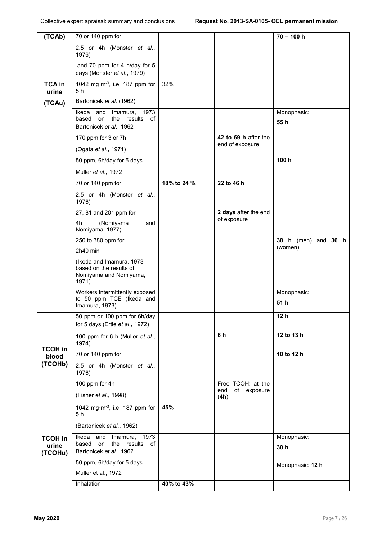| (TCAb)                 | $\overline{70}$ or 140 ppm for                                                                     |             |                                         | $70 - 100 h$                          |
|------------------------|----------------------------------------------------------------------------------------------------|-------------|-----------------------------------------|---------------------------------------|
|                        | 2.5 or 4h (Monster et al.,<br>1976)                                                                |             |                                         |                                       |
|                        | and 70 ppm for 4 h/day for 5<br>days (Monster et al., 1979)                                        |             |                                         |                                       |
| <b>TCA in</b><br>urine | 1042 mg·m <sup>-3</sup> , i.e. 187 ppm for<br>5 h                                                  | 32%         |                                         |                                       |
| (TCAu)                 | Bartonicek et al. (1962)                                                                           |             |                                         |                                       |
|                        | 1973<br>Ikeda<br>and<br>Imamura,<br>the<br>results<br>based<br>on<br>of<br>Bartonicek et al., 1962 |             |                                         | Monophasic:<br>55h                    |
|                        | 170 ppm for 3 or 7h                                                                                |             | 42 to 69 h after the                    |                                       |
|                        | (Ogata et al., 1971)                                                                               |             | end of exposure                         |                                       |
|                        | 50 ppm, 6h/day for 5 days                                                                          |             |                                         | 100h                                  |
|                        | Muller et al., 1972                                                                                |             |                                         |                                       |
|                        | 70 or 140 ppm for                                                                                  | 18% to 24 % | 22 to 46 h                              |                                       |
|                        | 2.5 or 4h (Monster et al.,<br>1976)                                                                |             |                                         |                                       |
|                        | 27, 81 and 201 ppm for                                                                             |             | 2 days after the end                    |                                       |
|                        | 4h<br>(Nomiyama<br>and<br>Nomiyama, 1977)                                                          |             | of exposure                             |                                       |
|                        | 250 to 380 ppm for                                                                                 |             |                                         | 38 $h$ (men)<br>and $36$ h<br>(women) |
|                        | 2h40 min                                                                                           |             |                                         |                                       |
|                        | (Ikeda and Imamura, 1973<br>based on the results of<br>Nomiyama and Nomiyama,<br>1971)             |             |                                         |                                       |
|                        | Workers intermittently exposed<br>to 50 ppm TCE (Ikeda and<br>Imamura, 1973)                       |             |                                         | Monophasic:<br>51 h                   |
|                        | 50 ppm or 100 ppm for 6h/day<br>for 5 days (Ertle et al., 1972)                                    |             |                                         | 12 <sub>h</sub>                       |
| <b>TCOH in</b>         | 100 ppm for 6 h (Muller et al.,<br>1974)                                                           |             | 6h                                      | 12 to 13 h                            |
| blood                  | 70 or 140 ppm for                                                                                  |             |                                         | 10 to 12 h                            |
| (TCOHb)                | 2.5 or 4h (Monster et al.,<br>1976)                                                                |             |                                         |                                       |
|                        | 100 ppm for 4h                                                                                     |             | Free TCOH: at the<br>end<br>of exposure |                                       |
|                        | (Fisher et al., 1998)                                                                              |             | (4h)                                    |                                       |
|                        | 1042 mg·m <sup>-3</sup> , i.e. 187 ppm for<br>5 h                                                  | 45%         |                                         |                                       |
|                        | (Bartonicek et al., 1962)                                                                          |             |                                         |                                       |
| <b>TCOH in</b>         | 1973<br>Ikeda<br>and<br>Imamura,                                                                   |             |                                         | Monophasic:                           |
| urine<br>(TCOHu)       | based<br>on<br>the<br>results<br>of<br>Bartonicek et al., 1962                                     |             |                                         | 30 h                                  |
|                        | 50 ppm, 6h/day for 5 days                                                                          |             |                                         |                                       |
|                        | Muller et al., 1972                                                                                |             |                                         | Monophasic: 12 h                      |
|                        | Inhalation                                                                                         | 40% to 43%  |                                         |                                       |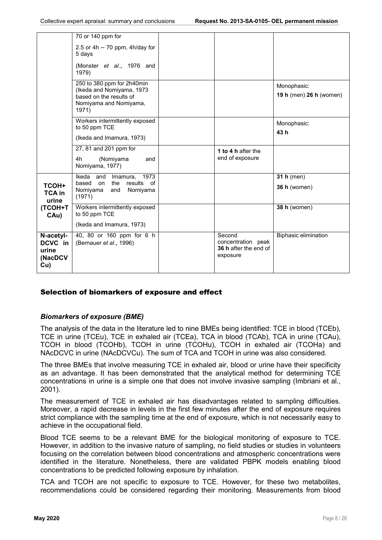|                                                 | 70 or 140 ppm for                                                                                                     |                                                                   |                                        |
|-------------------------------------------------|-----------------------------------------------------------------------------------------------------------------------|-------------------------------------------------------------------|----------------------------------------|
|                                                 | 2.5 or $4h - 70$ ppm, $4h/day$ for<br>5 days                                                                          |                                                                   |                                        |
|                                                 | (Monster et al., 1976 and<br>1979)                                                                                    |                                                                   |                                        |
|                                                 | 250 to 380 ppm for 2h40min<br>(Ikeda and Nomiyama, 1973<br>based on the results of<br>Nomiyama and Nomiyama,<br>1971) |                                                                   | Monophasic:<br>19 h (men) 26 h (women) |
|                                                 | Workers intermittently exposed<br>to 50 ppm TCE<br>(Ikeda and Imamura, 1973)                                          |                                                                   | Monophasic:<br>43 h                    |
|                                                 | 27, 81 and 201 ppm for<br>4h<br>(Nomiyama<br>and<br>Nomiyama, 1977)                                                   | 1 to 4 h after the<br>end of exposure                             |                                        |
| <b>TCOH+</b><br><b>TCA in</b><br>urine          | Ikeda<br>Imamura, 1973<br>and<br>based<br>the<br>results of<br>on<br>Nomiyama<br>and<br>Nomiyama<br>(1971)            |                                                                   | 31 $h$ (men)<br>36 h (women)           |
| <b>(TCOH+T</b><br>CAu)                          | Workers intermittently exposed<br>to 50 ppm TCE<br>(Ikeda and Imamura, 1973)                                          |                                                                   | 38 h (women)                           |
| N-acetyl-<br>DCVC in<br>urine<br>(NacDCV<br>Cu) | 40, 80 or 160 ppm for 6 h<br>(Bernauer et al., 1996)                                                                  | Second<br>concentration peak<br>36 h after the end of<br>exposure | <b>Biphasic elimination</b>            |

## Selection of biomarkers of exposure and effect

## *Biomarkers of exposure (BME)*

The analysis of the data in the literature led to nine BMEs being identified: TCE in blood (TCEb), TCE in urine (TCEu), TCE in exhaled air (TCEa), TCA in blood (TCAb), TCA in urine (TCAu), TCOH in blood (TCOHb), TCOH in urine (TCOHu), TCOH in exhaled air (TCOHa) and NAcDCVC in urine (NAcDCVCu). The sum of TCA and TCOH in urine was also considered.

The three BMEs that involve measuring TCE in exhaled air, blood or urine have their specificity as an advantage. It has been demonstrated that the analytical method for determining TCE concentrations in urine is a simple one that does not involve invasive sampling (Imbriani et al., 2001).

The measurement of TCE in exhaled air has disadvantages related to sampling difficulties. Moreover, a rapid decrease in levels in the first few minutes after the end of exposure requires strict compliance with the sampling time at the end of exposure, which is not necessarily easy to achieve in the occupational field.

Blood TCE seems to be a relevant BME for the biological monitoring of exposure to TCE. However, in addition to the invasive nature of sampling, no field studies or studies in volunteers focusing on the correlation between blood concentrations and atmospheric concentrations were identified in the literature. Nonetheless, there are validated PBPK models enabling blood concentrations to be predicted following exposure by inhalation.

TCA and TCOH are not specific to exposure to TCE. However, for these two metabolites, recommendations could be considered regarding their monitoring. Measurements from blood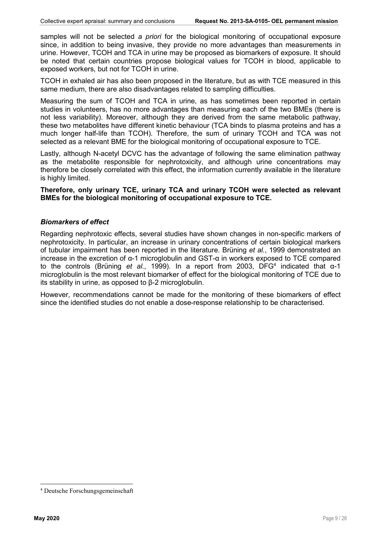samples will not be selected *a priori* for the biological monitoring of occupational exposure since, in addition to being invasive, they provide no more advantages than measurements in urine. However, TCOH and TCA in urine may be proposed as biomarkers of exposure. It should be noted that certain countries propose biological values for TCOH in blood, applicable to exposed workers, but not for TCOH in urine.

TCOH in exhaled air has also been proposed in the literature, but as with TCE measured in this same medium, there are also disadvantages related to sampling difficulties.

Measuring the sum of TCOH and TCA in urine, as has sometimes been reported in certain studies in volunteers, has no more advantages than measuring each of the two BMEs (there is not less variability). Moreover, although they are derived from the same metabolic pathway, these two metabolites have different kinetic behaviour (TCA binds to plasma proteins and has a much longer half-life than TCOH). Therefore, the sum of urinary TCOH and TCA was not selected as a relevant BME for the biological monitoring of occupational exposure to TCE.

Lastly, although N-acetyl DCVC has the advantage of following the same elimination pathway as the metabolite responsible for nephrotoxicity, and although urine concentrations may therefore be closely correlated with this effect, the information currently available in the literature is highly limited.

Therefore, only urinary TCE, urinary TCA and urinary TCOH were selected as relevant BMEs for the biological monitoring of occupational exposure to TCE.

#### *Biomarkers of effect*

Regarding nephrotoxic effects, several studies have shown changes in non-specific markers of nephrotoxicity. In particular, an increase in urinary concentrations of certain biological markers of tubular impairment has been reported in the literature. Brüning *et al.*, 1999 demonstrated an increase in the excretion of α-1 microglobulin and GST-α in workers exposed to TCE compared to the controls (Brüning *et al.*, 1999). In a report from 2003, DFG4 indicated that α-1 microglobulin is the most relevant biomarker of effect for the biological monitoring of TCE due to its stability in urine, as opposed to β-2 microglobulin.

However, recommendations cannot be made for the monitoring of these biomarkers of effect since the identified studies do not enable a dose-response relationship to be characterised.

 <sup>4</sup> Deutsche Forschungsgemeinschaft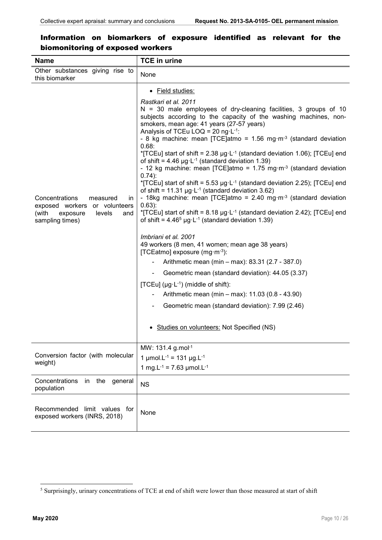| <b>Name</b>                                                                                                                 | <b>TCE in urine</b>                                                                                                                                                                                                                                                                                                                                                                                                                                                                                                                                                                                                                                                                                                                                                                                                                                                                                                                                                                                                                                                                                                                                                                                                                                                                                                                                                                                                                                                                                                                        |
|-----------------------------------------------------------------------------------------------------------------------------|--------------------------------------------------------------------------------------------------------------------------------------------------------------------------------------------------------------------------------------------------------------------------------------------------------------------------------------------------------------------------------------------------------------------------------------------------------------------------------------------------------------------------------------------------------------------------------------------------------------------------------------------------------------------------------------------------------------------------------------------------------------------------------------------------------------------------------------------------------------------------------------------------------------------------------------------------------------------------------------------------------------------------------------------------------------------------------------------------------------------------------------------------------------------------------------------------------------------------------------------------------------------------------------------------------------------------------------------------------------------------------------------------------------------------------------------------------------------------------------------------------------------------------------------|
| Other substances giving rise to<br>this biomarker                                                                           | None                                                                                                                                                                                                                                                                                                                                                                                                                                                                                                                                                                                                                                                                                                                                                                                                                                                                                                                                                                                                                                                                                                                                                                                                                                                                                                                                                                                                                                                                                                                                       |
| Concentrations<br>measured<br>in.<br>exposed workers or volunteers<br>(with<br>exposure<br>levels<br>and<br>sampling times) | • Field studies:<br>Rastkari et al. 2011<br>$N = 30$ male employees of dry-cleaning facilities, 3 groups of 10<br>subjects according to the capacity of the washing machines, non-<br>smokers, mean age: 41 years (27-57 years)<br>Analysis of TCEu LOQ = 20 ng $\cdot$ L $\cdot$ <sup>1</sup> :<br>- 8 kg machine: mean [TCE]atmo = $1.56$ mg·m <sup>-3</sup> (standard deviation<br>0.68:<br>*[TCEu] start of shift = 2.38 $\mu$ g·L <sup>-1</sup> (standard deviation 1.06); [TCEu] end<br>of shift = $4.46 \mu g \cdot L^{-1}$ (standard deviation 1.39)<br>- 12 kg machine: mean $\text{TCE}$ at $\text{C}$ = 1.75 mg·m <sup>-3</sup> (standard deviation<br>$0.74$ :<br>*[TCEu] start of shift = 5.53 µg·L <sup>-1</sup> (standard deviation 2.25); [TCEu] end<br>of shift = 11.31 $\mu$ g·L <sup>-1</sup> (standard deviation 3.62)<br>- 18kg machine: mean [TCE]atmo = $2.40$ mg·m <sup>-3</sup> (standard deviation<br>$0.63$ :<br>*[TCEu] start of shift = $8.18 \mu g \cdot L^{-1}$ (standard deviation 2.42); [TCEu] end<br>of shift = $4.46^5$ µg·L <sup>-1</sup> (standard deviation 1.39)<br>Imbriani et al. 2001<br>49 workers (8 men, 41 women; mean age 38 years)<br>[TCEatmo] exposure (mg·m-3):<br>Arithmetic mean (min - max): 83.31 (2.7 - 387.0)<br>Geometric mean (standard deviation): 44.05 (3.37)<br>[TCEu] ( $\mu$ g·L <sup>-1</sup> ) (middle of shift):<br>Arithmetic mean (min – max): 11.03 (0.8 - 43.90)<br>Geometric mean (standard deviation): 7.99 (2.46)<br>Studies on volunteers: Not Specified (NS) |
| Conversion factor (with molecular<br>weight)                                                                                | MW: 131.4 g.mol-1<br>1 $\mu$ mol.L <sup>-1</sup> = 131 $\mu$ g.L <sup>-1</sup><br>1 mg.L $^{-1}$ = 7.63 µmol.L $^{-1}$                                                                                                                                                                                                                                                                                                                                                                                                                                                                                                                                                                                                                                                                                                                                                                                                                                                                                                                                                                                                                                                                                                                                                                                                                                                                                                                                                                                                                     |
| Concentrations<br>the<br>in<br>general<br>population                                                                        | <b>NS</b>                                                                                                                                                                                                                                                                                                                                                                                                                                                                                                                                                                                                                                                                                                                                                                                                                                                                                                                                                                                                                                                                                                                                                                                                                                                                                                                                                                                                                                                                                                                                  |
| Recommended limit values for<br>exposed workers (INRS, 2018)                                                                | None                                                                                                                                                                                                                                                                                                                                                                                                                                                                                                                                                                                                                                                                                                                                                                                                                                                                                                                                                                                                                                                                                                                                                                                                                                                                                                                                                                                                                                                                                                                                       |

## Information on biomarkers of exposure identified as relevant for the biomonitoring of exposed workers

 <sup>5</sup> Surprisingly, urinary concentrations of TCE at end of shift were lower than those measured at start of shift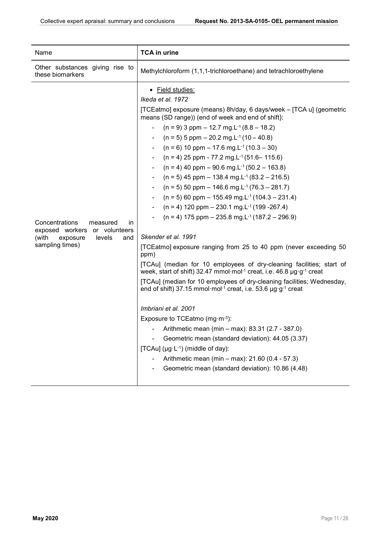| Name                                                                                                                        | <b>TCA in urine</b>                                                                                                                                                                                                                                                                                                                                                                                                                                                                                                                                                                                                                                                                                                                                                                                                                                                                                                                                                                                                                                                                                                                                                                                                                                                                                                                                                                                                                                                                                                                                                                                            |
|-----------------------------------------------------------------------------------------------------------------------------|----------------------------------------------------------------------------------------------------------------------------------------------------------------------------------------------------------------------------------------------------------------------------------------------------------------------------------------------------------------------------------------------------------------------------------------------------------------------------------------------------------------------------------------------------------------------------------------------------------------------------------------------------------------------------------------------------------------------------------------------------------------------------------------------------------------------------------------------------------------------------------------------------------------------------------------------------------------------------------------------------------------------------------------------------------------------------------------------------------------------------------------------------------------------------------------------------------------------------------------------------------------------------------------------------------------------------------------------------------------------------------------------------------------------------------------------------------------------------------------------------------------------------------------------------------------------------------------------------------------|
| Other substances giving rise to<br>these biomarkers                                                                         | Methylchloroform (1,1,1-trichloroethane) and tetrachloroethylene                                                                                                                                                                                                                                                                                                                                                                                                                                                                                                                                                                                                                                                                                                                                                                                                                                                                                                                                                                                                                                                                                                                                                                                                                                                                                                                                                                                                                                                                                                                                               |
| Concentrations<br>measured<br>in.<br>exposed workers or volunteers<br>(with<br>exposure<br>levels<br>and<br>sampling times) | · Field studies:<br>Ikeda et al. 1972<br>[TCEatmo] exposure (means) 8h/day, 6 days/week - [TCA u] (geometric<br>means (SD range)) (end of week and end of shift):<br>$(n = 9)$ 3 ppm $- 12.7$ mg.L <sup>-1</sup> (8.8 $- 18.2$ )<br>$(n = 5)$ 5 ppm $- 20.2$ mg.L <sup>-1</sup> (10 $- 40.8$ )<br>$(n = 6)$ 10 ppm $- 17.6$ mg.L <sup>-1</sup> (10.3 $- 30$ )<br>$(n = 4)$ 25 ppm - 77.2 mg.L <sup>-1</sup> (51.6– 115.6)<br>$(n = 4)$ 40 ppm – 90.6 mg.L <sup>-1</sup> (50.2 – 163.8)<br>$(n = 5)$ 45 ppm – 138.4 mg.L <sup>-1</sup> (83.2 – 216.5)<br>$(n = 5)$ 50 ppm – 146.6 mg.L <sup>-1</sup> (76.3 – 281.7)<br>$(n = 5)$ 60 ppm – 155.49 mg.L <sup>-1</sup> (104.3 – 231.4)<br>$(n = 4)$ 120 ppm – 230.1 mg.L <sup>-1</sup> (199 - 267.4)<br>$(n = 4)$ 175 ppm – 235.8 mg.L <sup>-1</sup> (187.2 – 296.9)<br>Skender et al. 1991<br>[TCEatmo] exposure ranging from 25 to 40 ppm (never exceeding 50<br>ppm)<br>[TCAu] (median for 10 employees of dry-cleaning facilities; start of<br>week, start of shift) 32.47 mmol·mol <sup>-1</sup> creat, i.e. 46.8 µg·g <sup>-1</sup> creat<br>[TCAu] (median for 10 employees of dry-cleaning facilities; Wednesday,<br>end of shift) 37.15 mmol·mol <sup>-1</sup> creat, i.e. 53.6 µg·g <sup>-1</sup> creat<br>Imbriani et al. 2001<br>Exposure to TCEatmo (mg $\cdot$ m $\cdot$ 3):<br>Arithmetic mean (min - max): 83.31 (2.7 - 387.0)<br>Geometric mean (standard deviation): 44.05 (3.37)<br>[TCAu] ( $\mu$ g·L <sup>-1</sup> ) (middle of day):<br>Arithmetic mean (min - max): 21.60 (0.4 - 57.3)<br>Geometric mean (standard deviation): 10.86 (4.48) |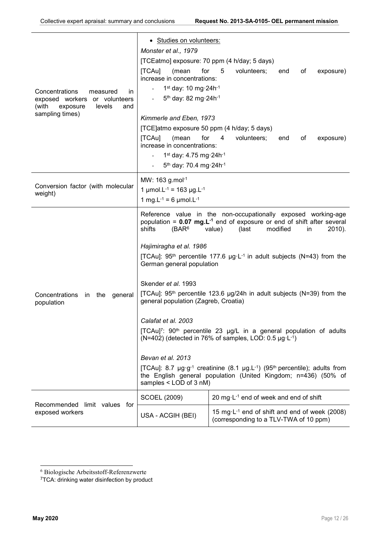| Concentrations<br>measured<br>in.<br>exposed workers<br>or volunteers<br>(with<br>exposure<br>levels<br>and<br>sampling times) | • Studies on volunteers:<br>Monster et al., 1979<br>[TCEatmo] exposure: 70 ppm (4 h/day; 5 days)<br>for<br>[TCAu]<br>(mean<br>increase in concentrations:<br>1st day: 10 mg $\cdot$ 24h $\cdot$ <sup>1</sup><br>5 <sup>th</sup> day: 82 mg 24h <sup>-1</sup><br>Kimmerle and Eben, 1973<br>[TCE]atmo exposure 50 ppm (4 h/day; 5 days)<br>[TCAu]<br>for<br>(mean<br>increase in concentrations:<br>1 <sup>st</sup> day: 4.75 mg 24h <sup>-1</sup><br>5th day: 70.4 mg 24h-1                                                                                                                                                                                                                                                                                                                                                                                                                                                                                                            | 5<br>volunteers;<br>of<br>end<br>exposure)<br>4<br>volunteers;<br>of<br>end<br>exposure)            |
|--------------------------------------------------------------------------------------------------------------------------------|----------------------------------------------------------------------------------------------------------------------------------------------------------------------------------------------------------------------------------------------------------------------------------------------------------------------------------------------------------------------------------------------------------------------------------------------------------------------------------------------------------------------------------------------------------------------------------------------------------------------------------------------------------------------------------------------------------------------------------------------------------------------------------------------------------------------------------------------------------------------------------------------------------------------------------------------------------------------------------------|-----------------------------------------------------------------------------------------------------|
| Conversion factor (with molecular<br>weight)                                                                                   | MW: 163 g.mol-1<br>1 µmol.L <sup>-1</sup> = 163 µg.L <sup>-1</sup><br>1 mg.L <sup>-1</sup> = 6 $\mu$ mol.L <sup>-1</sup>                                                                                                                                                                                                                                                                                                                                                                                                                                                                                                                                                                                                                                                                                                                                                                                                                                                               |                                                                                                     |
| Concentrations<br>in the<br>general<br>population                                                                              | Reference value in the non-occupationally exposed working-age<br>population = $0.07$ mg. $L^{-1}$ end of exposure or end of shift after several<br>shifts<br>(BAR <sup>6</sup> )<br>value)<br>(last<br>modified<br>$2010$ ).<br>in.<br>Hajimiragha et al. 1986<br>[TCAu]: $95th$ percentile 177.6 $\mu$ g·L <sup>-1</sup> in adult subjects (N=43) from the<br>German general population<br>Skender et al. 1993<br>[TCAu]: $95th$ percentile 123.6 $\mu$ g/24h in adult subjects (N=39) from the<br>general population (Zagreb, Croatia)<br>Calafat et al. 2003<br>[TCAu] <sup>7</sup> : 90 <sup>th</sup> percentile 23 µg/L in a general population of adults<br>(N=402) (detected in 76% of samples, LOD: 0.5 $\mu$ g·L <sup>-1</sup> )<br>Bevan et al. 2013<br>[TCAu]: 8.7 $\mu$ g·g <sup>-1</sup> creatinine (8.1 $\mu$ g.L <sup>-1</sup> ) (95 <sup>th</sup> percentile); adults from<br>the English general population (United Kingdom; n=436) (50% of<br>samples < LOD of 3 nM) |                                                                                                     |
| Recommended limit values for                                                                                                   | <b>SCOEL (2009)</b>                                                                                                                                                                                                                                                                                                                                                                                                                                                                                                                                                                                                                                                                                                                                                                                                                                                                                                                                                                    | 20 mg $\cdot$ L <sup>-1</sup> end of week and end of shift                                          |
| exposed workers                                                                                                                | USA - ACGIH (BEI)                                                                                                                                                                                                                                                                                                                                                                                                                                                                                                                                                                                                                                                                                                                                                                                                                                                                                                                                                                      | 15 mg·L <sup>-1</sup> end of shift and end of week (2008)<br>(corresponding to a TLV-TWA of 10 ppm) |

 <sup>6</sup> Biologische Arbeitsstoff-Referenzwerte

<sup>&</sup>lt;sup>7</sup>TCA: drinking water disinfection by product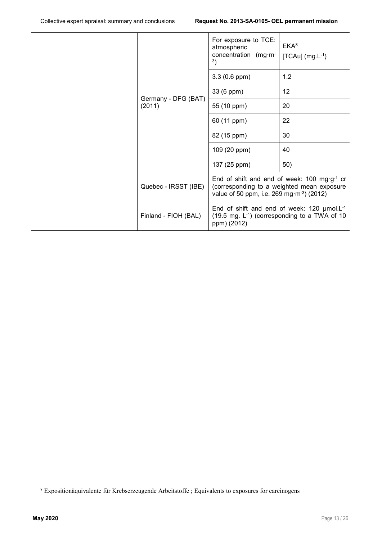|                               | For exposure to TCE:<br>atmospheric<br>concentration (mg·m-<br>3)          | EKA <sup>8</sup><br>$[TCAu]$ (mg.L-1)                                                                         |
|-------------------------------|----------------------------------------------------------------------------|---------------------------------------------------------------------------------------------------------------|
|                               | $3.3(0.6$ ppm $)$                                                          | 1.2                                                                                                           |
|                               | 33 (6 ppm)                                                                 | 12                                                                                                            |
| Germany - DFG (BAT)<br>(2011) | 55 (10 ppm)                                                                | 20                                                                                                            |
|                               | 60 (11 ppm)                                                                | 22                                                                                                            |
|                               | 82 (15 ppm)                                                                | 30                                                                                                            |
|                               | 109 (20 ppm)                                                               | 40                                                                                                            |
|                               | 137 (25 ppm)                                                               | 50)                                                                                                           |
| Quebec - IRSST (IBE)          | value of 50 ppm, i.e. 269 mg·m <sup>-3</sup> ) (2012)                      | End of shift and end of week: 100 mg $\cdot$ g <sup>-1</sup> cr<br>(corresponding to a weighted mean exposure |
| Finland - FIOH (BAL)          | End of shift and end of week: 120 $\mu$ mol.L <sup>-1</sup><br>ppm) (2012) | $(19.5 \text{ mg. L}^{-1})$ (corresponding to a TWA of 10                                                     |

 <sup>8</sup> Expositionäquivalente fûr Krebserzeugende Arbeitstoffe ; Equivalents to exposures for carcinogens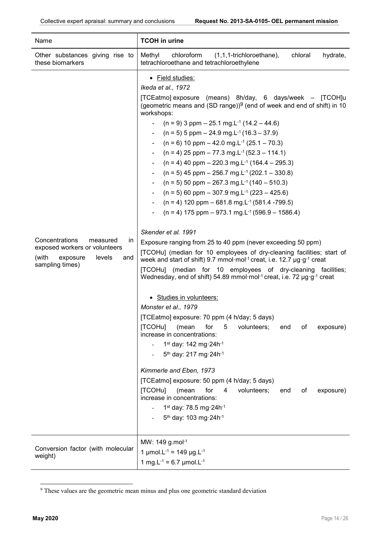| Name                                                                                                                       | <b>TCOH in urine</b>                                                                                                                                                                                                                                                                                                                                                                                                                                                                                                                                                                                                                                                                                                                                                                                                                                                                                                                                                                                                                                                                                                                                                                                                                                                                                                                                                                                                                                                                                                                                                                                                                                                                                                                                                                                                                                                                                                             |
|----------------------------------------------------------------------------------------------------------------------------|----------------------------------------------------------------------------------------------------------------------------------------------------------------------------------------------------------------------------------------------------------------------------------------------------------------------------------------------------------------------------------------------------------------------------------------------------------------------------------------------------------------------------------------------------------------------------------------------------------------------------------------------------------------------------------------------------------------------------------------------------------------------------------------------------------------------------------------------------------------------------------------------------------------------------------------------------------------------------------------------------------------------------------------------------------------------------------------------------------------------------------------------------------------------------------------------------------------------------------------------------------------------------------------------------------------------------------------------------------------------------------------------------------------------------------------------------------------------------------------------------------------------------------------------------------------------------------------------------------------------------------------------------------------------------------------------------------------------------------------------------------------------------------------------------------------------------------------------------------------------------------------------------------------------------------|
| Other substances giving rise to<br>these biomarkers                                                                        | Methyl<br>chloral<br>hydrate,<br>chloroform<br>$(1,1,1$ -trichloroethane),<br>tetrachloroethane and tetrachloroethylene                                                                                                                                                                                                                                                                                                                                                                                                                                                                                                                                                                                                                                                                                                                                                                                                                                                                                                                                                                                                                                                                                                                                                                                                                                                                                                                                                                                                                                                                                                                                                                                                                                                                                                                                                                                                          |
| Concentrations<br>measured<br>in<br>exposed workers or volunteers<br>(with<br>levels<br>exposure<br>and<br>sampling times) | • Field studies:<br>Ikeda et al., 1972<br>[TCEatmo] exposure (means) 8h/day, 6 days/week - [TCOH]u<br>(geometric means and $(SD \text{ range})^9$ (end of week and end of shift) in 10<br>workshops:<br>$(n = 9)$ 3 ppm $- 25.1$ mg.L <sup>-1</sup> (14.2 $- 44.6$ )<br>$(n = 5)$ 5 ppm $- 24.9$ mg.L <sup>-1</sup> (16.3 $- 37.9$ )<br>$(n = 6)$ 10 ppm $- 42.0$ mg. L <sup>-1</sup> (25.1 $- 70.3$ )<br>$(n = 4)$ 25 ppm $- 77.3$ mg.L <sup>-1</sup> (52.3 $- 114.1$ )<br>$(n = 4)$ 40 ppm – 220.3 mg.L <sup>-1</sup> (164.4 – 295.3)<br>$(n = 5)$ 45 ppm – 256.7 mg.L <sup>-1</sup> (202.1 – 330.8)<br>$(n = 5)$ 50 ppm – 267.3 mg.L <sup>-1</sup> (140 – 510.3)<br>$(n = 5)$ 60 ppm $-$ 307.9 mg. L <sup>-1</sup> (223 $-$ 425.6)<br>$(n = 4)$ 120 ppm – 681.8 mg.L <sup>-1</sup> (581.4 -799.5)<br>$(n = 4)$ 175 ppm – 973.1 mg.L <sup>-1</sup> (596.9 – 1586.4)<br>Skender et al. 1991<br>Exposure ranging from 25 to 40 ppm (never exceeding 50 ppm)<br>[TCOHu] (median for 10 employees of dry-cleaning facilities; start of<br>week and start of shift) 9.7 mmol·mol <sup>-1</sup> creat, i.e. 12.7 µg·g <sup>-1</sup> creat<br>[TCOHu] (median for 10 employees of dry-cleaning facilities;<br>Wednesday, end of shift) 54.89 mmol·mol <sup>-1</sup> creat, i.e. 72 µg·g <sup>-1</sup> creat<br>· Studies in volunteers:<br>Monster et al., 1979<br>[TCEatmo] exposure: 70 ppm (4 h/day; 5 days)<br>[TCOHu]<br>for<br>5<br>volunteers;<br>exposure)<br>(mean<br>end<br>оf<br>increase in concentrations:<br>1st day: 142 mg $\cdot$ 24h $\cdot$ <sup>1</sup><br>5 <sup>th</sup> day: 217 mg 24h <sup>-1</sup><br>Kimmerle and Eben, 1973<br>[TCEatmo] exposure: 50 ppm (4 h/day; 5 days)<br>for<br>[TCOHu]<br>(mean<br>4<br>volunteers;<br>exposure)<br>end<br>оf<br>increase in concentrations:<br>1 <sup>st</sup> day: 78.5 mg 24h <sup>-1</sup><br>5 <sup>th</sup> day: 103 mg 24h <sup>-1</sup><br>MW: 149 g.mol-1 |
| Conversion factor (with molecular<br>weight)                                                                               | 1 µmol.L <sup>-1</sup> = 149 µg.L <sup>-1</sup><br>1 mg.L <sup>-1</sup> = 6.7 $\mu$ mol.L <sup>-1</sup>                                                                                                                                                                                                                                                                                                                                                                                                                                                                                                                                                                                                                                                                                                                                                                                                                                                                                                                                                                                                                                                                                                                                                                                                                                                                                                                                                                                                                                                                                                                                                                                                                                                                                                                                                                                                                          |

<sup>&</sup>lt;sup>9</sup> These values are the geometric mean minus and plus one geometric standard deviation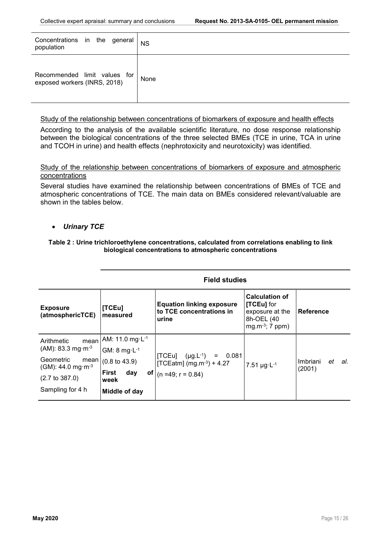| Concentrations in the general<br>population                  | <b>NS</b> |
|--------------------------------------------------------------|-----------|
| Recommended limit values for<br>exposed workers (INRS, 2018) | None      |

#### Study of the relationship between concentrations of biomarkers of exposure and health effects

According to the analysis of the available scientific literature, no dose response relationship between the biological concentrations of the three selected BMEs (TCE in urine, TCA in urine and TCOH in urine) and health effects (nephrotoxicity and neurotoxicity) was identified.

Study of the relationship between concentrations of biomarkers of exposure and atmospheric concentrations

Several studies have examined the relationship between concentrations of BMEs of TCE and atmospheric concentrations of TCE. The main data on BMEs considered relevant/valuable are shown in the tables below.

#### *Urinary TCE*

#### Table 2 : Urine trichloroethylene concentrations, calculated from correlations enabling to link biological concentrations to atmospheric concentrations

| <b>Exposure</b><br>(atmosphericTCE)                                                                                                                      | [TCEu]<br><b>Imeasured</b>                                                                                                                                     | <b>Equation linking exposure</b><br>to TCE concentrations in<br>urine                                | <b>Calculation of</b><br>[TCEu] for<br>exposure at the<br>8h-OEL (40<br>mg.m $-3$ ; 7 ppm) | <b>Reference</b>                |
|----------------------------------------------------------------------------------------------------------------------------------------------------------|----------------------------------------------------------------------------------------------------------------------------------------------------------------|------------------------------------------------------------------------------------------------------|--------------------------------------------------------------------------------------------|---------------------------------|
| Arithmetic<br>mean<br>$(AM): 83.3 mg·m-3$<br>Geometric<br>mean<br>(GM): 44.0 mg $\cdot$ m <sup>-3</sup><br>$(2.7 \text{ to } 387.0)$<br>Sampling for 4 h | AM: 11.0 mg·L <sup>-1</sup><br>GM: $8 \text{ mg·}L^{-1}$<br>$(0.8 \text{ to } 43.9)$<br><b>First</b><br>of <sub>l</sub><br>day<br><b>week</b><br>Middle of day | $(\mu g.L^{-1}) = 0.081$<br>$\mathsf{TCEu}$<br>[TCEatm] $(mg.m^{-3}) + 4.27$<br>$(n = 49; r = 0.84)$ | 7.51 $\mu$ g·L <sup>-1</sup>                                                               | Imbriani<br>et<br>al.<br>(2001) |

#### Field studies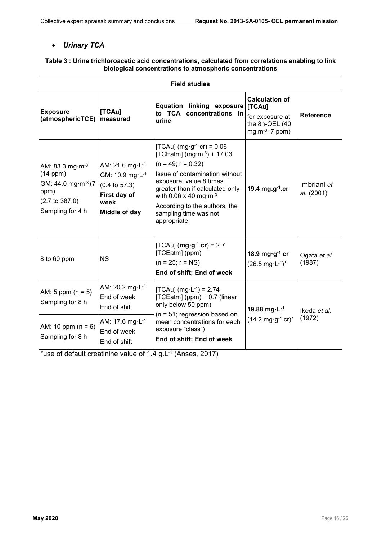### *Urinary TCA*

#### Table 3 : Urine trichloroacetic acid concentrations, calculated from correlations enabling to link biological concentrations to atmospheric concentrations

| <b>Field studies</b>                                                                                                                       |                                                                                                                                 |                                                                                                                                                                                                                                                                                                                    |                                                                                              |                           |
|--------------------------------------------------------------------------------------------------------------------------------------------|---------------------------------------------------------------------------------------------------------------------------------|--------------------------------------------------------------------------------------------------------------------------------------------------------------------------------------------------------------------------------------------------------------------------------------------------------------------|----------------------------------------------------------------------------------------------|---------------------------|
| <b>Exposure</b><br>(atmosphericTCE)                                                                                                        | [TCAu]<br>measured                                                                                                              | <b>Equation linking exposure</b><br>to TCA concentrations in<br>urine                                                                                                                                                                                                                                              | <b>Calculation of</b><br>[TCAu]<br>for exposure at<br>the 8h-OEL (40<br>$mg.m^{-3}$ ; 7 ppm) | <b>Reference</b>          |
| AM: 83.3 mg $\cdot$ m <sup>-3</sup><br>(14 ppm)<br>GM: 44.0 mg·m <sup>-3</sup> (7<br>ppm)<br>$(2.7 \text{ to } 387.0)$<br>Sampling for 4 h | AM: 21.6 mg·L <sup>-1</sup><br>GM: 10.9 mg·L <sup>-1</sup><br>$(0.4 \text{ to } 57.3)$<br>First day of<br>week<br>Middle of day | [TCAu] (mg·g <sup>-1</sup> cr) = $0.06$<br>[TCEatm] (mg·m-3) + 17.03<br>$(n = 49; r = 0.32)$<br>Issue of contamination without<br>exposure: value 8 times<br>greater than if calculated only<br>with 0.06 x 40 mg $\cdot$ m <sup>-3</sup><br>According to the authors, the<br>sampling time was not<br>appropriate | 19.4 $mg.g^{-1}.cr$                                                                          | Imbriani et<br>al. (2001) |
| 8 to 60 ppm                                                                                                                                | <b>NS</b>                                                                                                                       | [TCAu] ( $mg \cdot g^{-1}$ cr) = 2.7<br>[TCEatm] (ppm)<br>$(n = 25; r = NS)$<br>End of shift; End of week                                                                                                                                                                                                          | 18.9 mg $\cdot$ g <sup>-1</sup> cr<br>$(26.5 \text{ mg} \cdot \text{L}^{-1})^*$              | Ogata et al.<br>(1987)    |
| AM: 5 ppm $(n = 5)$<br>Sampling for 8 h                                                                                                    | AM: 20.2 mg·L <sup>-1</sup><br>End of week<br>End of shift                                                                      | [TCAu] (mg·L <sup>-1</sup> ) = 2.74<br>[TCEatm] (ppm) + 0.7 (linear<br>only below 50 ppm)<br>$(n = 51;$ regression based on<br>mean concentrations for each<br>exposure "class")<br>End of shift; End of week                                                                                                      | 19.88 mg $\cdot$ L <sup>-1</sup><br>$(14.2 \text{ mg} \cdot \text{g}^{-1} \text{ cr})^*$     | Ikeda et al.<br>(1972)    |
| AM: 10 ppm $(n = 6)$<br>Sampling for 8 h                                                                                                   | AM: 17.6 mg·L <sup>-1</sup><br>End of week<br>End of shift                                                                      |                                                                                                                                                                                                                                                                                                                    |                                                                                              |                           |

\*use of default creatinine value of  $1.4$  g.L<sup>-1</sup> (Anses, 2017)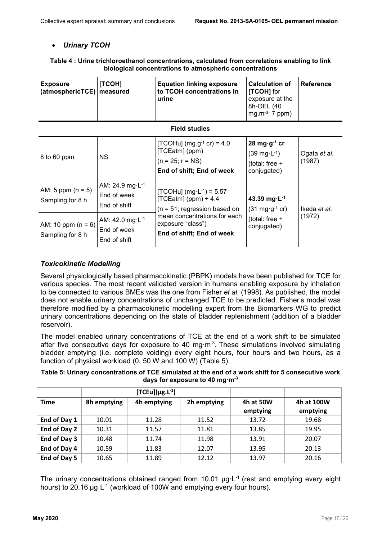### *Urinary TCOH*

#### Table 4 : Urine trichloroethanol concentrations, calculated from correlations enabling to link biological concentrations to atmospheric concentrations

| <b>Exposure</b><br>(atmosphericTCE)      | [TCOH]<br>measured                                         | <b>Equation linking exposure</b><br>to TCOH concentrations in<br>urine                                     | <b>Calculation of</b><br>[TCOH] for<br>exposure at the<br>8h-OEL (40<br>mg.m $-3$ ; 7 ppm)                               | <b>Reference</b>       |
|------------------------------------------|------------------------------------------------------------|------------------------------------------------------------------------------------------------------------|--------------------------------------------------------------------------------------------------------------------------|------------------------|
|                                          |                                                            | <b>Field studies</b>                                                                                       |                                                                                                                          |                        |
| 8 to 60 ppm                              | NS.                                                        | [TCOHu] (mg.g <sup>-1</sup> cr) = 4.0<br>[TCEatm] (ppm)<br>$(n = 25; r = NS)$<br>End of shift; End of week | $28 \text{ mg} \cdot \text{g}^{-1} \text{ cr}$<br>$(39 \text{ mg} \cdot \text{L}^{-1})$<br>(total: free +<br>conjugated) | Ogata et al.<br>(1987) |
| AM: 5 ppm $(n = 5)$<br>Sampling for 8 h  | AM: 24.9 mg·L <sup>-1</sup><br>End of week<br>End of shift | [TCOHu] (mg·L <sup>-1</sup> ) = 5.57<br>$[TCEatm]$ (ppm) + 4.4<br>$(n = 51;$ regression based on           | 43.39 mg $\cdot$ L <sup>-1</sup><br>$(31 \text{ mg} \cdot \text{g}^{-1} \text{ cr})$                                     | Ikeda et al.           |
| AM: 10 ppm $(n = 6)$<br>Sampling for 8 h | AM: 42.0 mg·L-1<br>End of week<br>End of shift             | mean concentrations for each<br>exposure "class")<br>End of shift; End of week                             | (total: free +<br>conjugated)                                                                                            | (1972)                 |

#### *Toxicokinetic Modelling*

Several physiologically based pharmacokinetic (PBPK) models have been published for TCE for various species. The most recent validated version in humans enabling exposure by inhalation to be connected to various BMEs was the one from Fisher *et al.* (1998). As published, the model does not enable urinary concentrations of unchanged TCE to be predicted. Fisher's model was therefore modified by a pharmacokinetic modelling expert from the Biomarkers WG to predict urinary concentrations depending on the state of bladder replenishment (addition of a bladder reservoir).

The model enabled urinary concentrations of TCE at the end of a work shift to be simulated after five consecutive days for exposure to 40 mg $\cdot$ m<sup>-3</sup>. These simulations involved simulating bladder emptying (i.e. complete voiding) every eight hours, four hours and two hours, as a function of physical workload (0, 50 W and 100 W) (Table 5).

Table 5: Urinary concentrations of TCE simulated at the end of a work shift for 5 consecutive work days for exposure to 40 mg $\cdot$ m<sup>-3</sup>

|              | $[TCEu](\mu g.L^{-1})$ |             |             |                       |                        |
|--------------|------------------------|-------------|-------------|-----------------------|------------------------|
| <b>Time</b>  | 8h emptying            | 4h emptying | 2h emptying | 4h at 50W<br>emptying | 4h at 100W<br>emptying |
| End of Day 1 | 10.01                  | 11.28       | 11.52       | 13.72                 | 19.68                  |
| End of Day 2 | 10.31                  | 11.57       | 11.81       | 13.85                 | 19.95                  |
| End of Day 3 | 10.48                  | 11.74       | 11.98       | 13.91                 | 20.07                  |
| End of Day 4 | 10.59                  | 11.83       | 12.07       | 13.95                 | 20.13                  |
| End of Day 5 | 10.65                  | 11.89       | 12.12       | 13.97                 | 20.16                  |

The urinary concentrations obtained ranged from 10.01  $\mu$ g·L<sup>-1</sup> (rest and emptying every eight hours) to 20.16 µg·L<sup>-1</sup> (workload of 100W and emptying every four hours).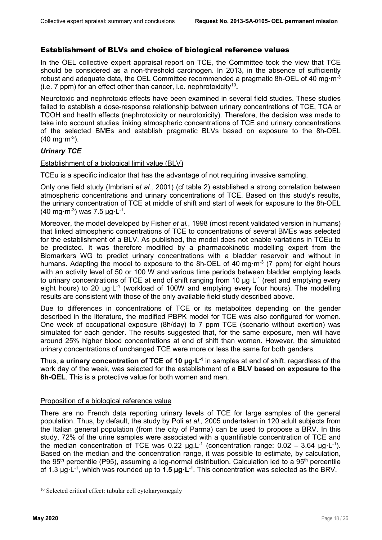### Establishment of BLVs and choice of biological reference values

In the OEL collective expert appraisal report on TCE, the Committee took the view that TCE should be considered as a non-threshold carcinogen. In 2013, in the absence of sufficiently robust and adequate data, the OEL Committee recommended a pragmatic 8h-OEL of 40 mg·m<sup>-3</sup> (i.e. 7 ppm) for an effect other than cancer, i.e. nephrotoxicity<sup>10</sup>.

Neurotoxic and nephrotoxic effects have been examined in several field studies. These studies failed to establish a dose-response relationship between urinary concentrations of TCE, TCA or TCOH and health effects (nephrotoxicity or neurotoxicity). Therefore, the decision was made to take into account studies linking atmospheric concentrations of TCE and urinary concentrations of the selected BMEs and establish pragmatic BLVs based on exposure to the 8h-OEL  $(40 \text{ mg} \cdot \text{m}^{-3}).$ 

### *Urinary TCE*

#### Establishment of a biological limit value (BLV)

TCEu is a specific indicator that has the advantage of not requiring invasive sampling.

Only one field study (Imbriani *et al.,* 2001) (cf table 2) established a strong correlation between atmospheric concentrations and urinary concentrations of TCE. Based on this study's results, the urinary concentration of TCE at middle of shift and start of week for exposure to the 8h-OEL  $(40 \text{ mg} \cdot \text{m}^{-3})$  was 7.5 µg L<sup>-1</sup>.

Moreover, the model developed by Fisher *et al.*, 1998 (most recent validated version in humans) that linked atmospheric concentrations of TCE to concentrations of several BMEs was selected for the establishment of a BLV. As published, the model does not enable variations in TCEu to be predicted. It was therefore modified by a pharmacokinetic modelling expert from the Biomarkers WG to predict urinary concentrations with a bladder reservoir and without in humans. Adapting the model to exposure to the 8h-OEL of 40 mg·m<sup>-3</sup> (7 ppm) for eight hours with an activity level of 50 or 100 W and various time periods between bladder emptying leads to urinary concentrations of TCE at end of shift ranging from 10  $\mu q \cdot L^{-1}$  (rest and emptying every eight hours) to 20  $\mu$ g·L<sup>-1</sup> (workload of 100W and emptying every four hours). The modelling results are consistent with those of the only available field study described above.

Due to differences in concentrations of TCE or its metabolites depending on the gender described in the literature, the modified PBPK model for TCE was also configured for women. One week of occupational exposure (8h/day) to 7 ppm TCE (scenario without exertion) was simulated for each gender. The results suggested that, for the same exposure, men will have around 25% higher blood concentrations at end of shift than women. However, the simulated urinary concentrations of unchanged TCE were more or less the same for both genders.

Thus, a urinary concentration of TCE of 10  $\mu$ g·L<sup>-1</sup> in samples at end of shift, regardless of the work day of the week, was selected for the establishment of a BLV based on exposure to the 8h-OEL. This is a protective value for both women and men.

#### Proposition of a biological reference value

There are no French data reporting urinary levels of TCE for large samples of the general population. Thus, by default, the study by Poli *et al.,* 2005 undertaken in 120 adult subjects from the Italian general population (from the city of Parma) can be used to propose a BRV. In this study, 72% of the urine samples were associated with a quantifiable concentration of TCE and the median concentration of TCE was 0.22  $\mu$ g.L<sup>-1</sup> (concentration range: 0.02 – 3.64  $\mu$ g·L<sup>-1</sup>). Based on the median and the concentration range, it was possible to estimate, by calculation, the 95<sup>th</sup> percentile (P95), assuming a log-normal distribution. Calculation led to a 95<sup>th</sup> percentile of 1.3  $\mu$ g·L<sup>-1</sup>, which was rounded up to **1.5**  $\mu$ **g·L**<sup>-1</sup>. This concentration was selected as the BRV.

<sup>&</sup>lt;sup>10</sup> Selected critical effect: tubular cell cytokaryomegaly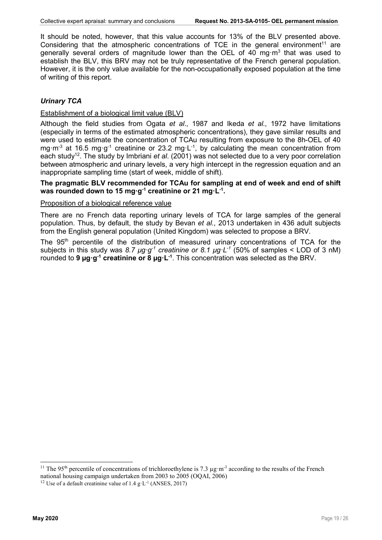It should be noted, however, that this value accounts for 13% of the BLV presented above. Considering that the atmospheric concentrations of TCE in the general environment<sup>11</sup> are generally several orders of magnitude lower than the OEL of 40 mg·m3 that was used to establish the BLV, this BRV may not be truly representative of the French general population. However, it is the only value available for the non-occupationally exposed population at the time of writing of this report.

### *Urinary TCA*

#### Establishment of a biological limit value (BLV)

Although the field studies from Ogata *et al*., 1987 and Ikeda *et al.,* 1972 have limitations (especially in terms of the estimated atmospheric concentrations), they gave similar results and were used to estimate the concentration of TCAu resulting from exposure to the 8h-OEL of 40 mg·m<sup>-3</sup> at 16.5 mg·g<sup>-1</sup> creatinine or 23.2 mg·L<sup>-1</sup>, by calculating the mean concentration from each study12. The study by Imbriani *et al*. (2001) was not selected due to a very poor correlation between atmospheric and urinary levels, a very high intercept in the regression equation and an inappropriate sampling time (start of week, middle of shift).

#### The pragmatic BLV recommended for TCAu for sampling at end of week and end of shift was rounded down to 15 mg $\cdot$ g<sup>-1</sup> creatinine or 21 mg $\cdot$ L<sup>-1</sup>.

#### Proposition of a biological reference value

There are no French data reporting urinary levels of TCA for large samples of the general population. Thus, by default, the study by Bevan *et al.*, 2013 undertaken in 436 adult subjects from the English general population (United Kingdom) was selected to propose a BRV.

The 95<sup>th</sup> percentile of the distribution of measured urinary concentrations of TCA for the subjects in this study was *8.7 µg·g-1 creatinine or 8.1 µg·L-1* (50% of samples < LOD of 3 nM) rounded to **9 µg·g<sup>-1</sup> creatinine or 8 µg·L**<sup>-1</sup>. This concentration was selected as the BRV.

<sup>&</sup>lt;sup>11</sup> The 95<sup>th</sup> percentile of concentrations of trichloroethylene is 7.3  $\mu$ g·m<sup>-3</sup> according to the results of the French national housing campaign undertaken from 2003 to 2005 (OQAI, 2006)

<sup>&</sup>lt;sup>12</sup> Use of a default creatinine value of 1.4  $g \text{·}L^{-1}$  (ANSES, 2017)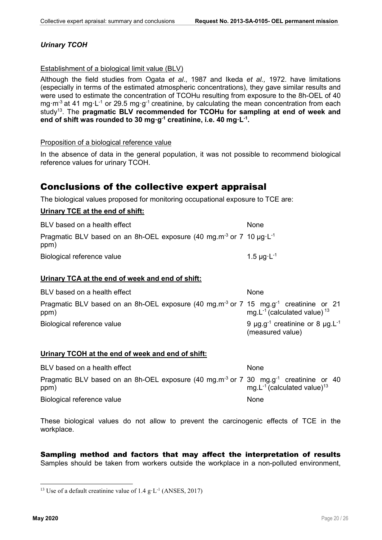## *Urinary TCOH*

### Establishment of a biological limit value (BLV)

Although the field studies from Ogata *et al*., 1987 and Ikeda *et al.,* 1972. have limitations (especially in terms of the estimated atmospheric concentrations), they gave similar results and were used to estimate the concentration of TCOHu resulting from exposure to the 8h-OEL of 40 mg·m<sup>-3</sup> at 41 mg·L<sup>-1</sup> or 29.5 mg·g<sup>-1</sup> creatinine, by calculating the mean concentration from each study<sup>13</sup>. The pragmatic BLV recommended for TCOHu for sampling at end of week and end of shift was rounded to 30 mg $\cdot$ g<sup>-1</sup> creatinine, i.e. 40 mg $\cdot$ L<sup>-1</sup>.

#### Proposition of a biological reference value

In the absence of data in the general population, it was not possible to recommend biological reference values for urinary TCOH.

## Conclusions of the collective expert appraisal

The biological values proposed for monitoring occupational exposure to TCE are:

### Urinary TCE at the end of shift:

| BLV based on a health effect                                                                             | None                        |
|----------------------------------------------------------------------------------------------------------|-----------------------------|
| Pragmatic BLV based on an 8h-OEL exposure (40 mg.m <sup>-3</sup> or 7 10 $\mu$ g L <sup>-1</sup><br>ppm) |                             |
| Biological reference value                                                                               | 1.5 $\mu$ g·L <sup>-1</sup> |

#### Urinary TCA at the end of week and end of shift:

| BLV based on a health effect                                                                                         | None                                                                                  |
|----------------------------------------------------------------------------------------------------------------------|---------------------------------------------------------------------------------------|
| Pragmatic BLV based on an 8h-OEL exposure (40 mg.m <sup>-3</sup> or 7 15 mg.g <sup>-1</sup> creatinine or 21<br>ppm) | mg. $L^{-1}$ (calculated value) $^{13}$                                               |
| Biological reference value                                                                                           | 9 $\mu$ g.g <sup>-1</sup> creatinine or 8 $\mu$ g.L <sup>-1</sup><br>(measured value) |

#### Urinary TCOH at the end of week and end of shift:

| BLV based on a health effect                                                                                         | None                                          |
|----------------------------------------------------------------------------------------------------------------------|-----------------------------------------------|
| Pragmatic BLV based on an 8h-OEL exposure (40 mg.m <sup>-3</sup> or 7 30 mg.g <sup>-1</sup> creatinine or 40<br>ppm) | mg. $L^{-1}$ (calculated value) <sup>13</sup> |
| Biological reference value                                                                                           | None                                          |

These biological values do not allow to prevent the carcinogenic effects of TCE in the workplace.

## Sampling method and factors that may affect the interpretation of results

Samples should be taken from workers outside the workplace in a non-polluted environment,

<sup>&</sup>lt;sup>13</sup> Use of a default creatinine value of  $1.4 \text{ g} \cdot L^{-1}$  (ANSES, 2017)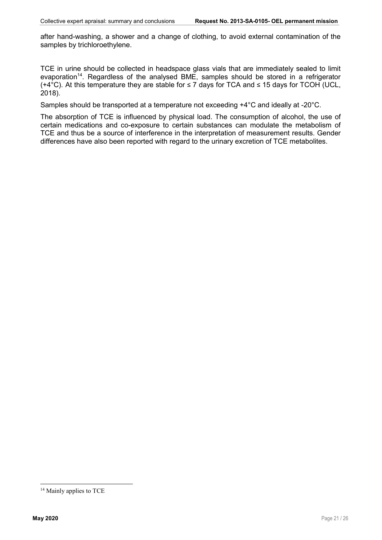after hand-washing, a shower and a change of clothing, to avoid external contamination of the samples by trichloroethylene.

TCE in urine should be collected in headspace glass vials that are immediately sealed to limit evaporation<sup>14</sup>. Regardless of the analysed BME, samples should be stored in a refrigerator (+4°C). At this temperature they are stable for ≤ 7 days for TCA and ≤ 15 days for TCOH (UCL, 2018).

Samples should be transported at a temperature not exceeding +4°C and ideally at -20°C.

The absorption of TCE is influenced by physical load. The consumption of alcohol, the use of certain medications and co-exposure to certain substances can modulate the metabolism of TCE and thus be a source of interference in the interpretation of measurement results. Gender differences have also been reported with regard to the urinary excretion of TCE metabolites.

<sup>&</sup>lt;sup>14</sup> Mainly applies to TCE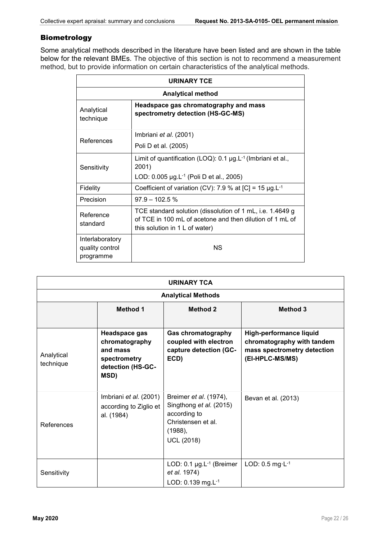## Biometrology

Some analytical methods described in the literature have been listed and are shown in the table below for the relevant BMEs. The objective of this section is not to recommend a measurement method, but to provide information on certain characteristics of the analytical methods.

| <b>URINARY TCE</b>                              |                                                                                                                                                         |  |
|-------------------------------------------------|---------------------------------------------------------------------------------------------------------------------------------------------------------|--|
| <b>Analytical method</b>                        |                                                                                                                                                         |  |
| Analytical<br>technique                         | Headspace gas chromatography and mass<br>spectrometry detection (HS-GC-MS)                                                                              |  |
| References                                      | Imbriani <i>et al.</i> (2001)<br>Poli D et al. (2005)                                                                                                   |  |
| Sensitivity                                     | Limit of quantification (LOQ): $0.1 \mu g.L^{-1}$ (Imbriani et al.,<br>2001)<br>LOD: 0.005 µg.L <sup>-1</sup> (Poli D et al., 2005)                     |  |
| Fidelity                                        | Coefficient of variation (CV): 7.9 % at [C] = 15 $\mu$ g.L <sup>-1</sup>                                                                                |  |
| Precision                                       | $97.9 - 102.5$ %                                                                                                                                        |  |
| Reference<br>standard                           | TCE standard solution (dissolution of 1 mL, i.e. 1.4649 g<br>of TCE in 100 mL of acetone and then dilution of 1 mL of<br>this solution in 1 L of water) |  |
| Interlaboratory<br>quality control<br>programme | <b>NS</b>                                                                                                                                               |  |

| <b>URINARY TCA</b>        |                                                                                          |                                                                                                                                |                                                                                                         |
|---------------------------|------------------------------------------------------------------------------------------|--------------------------------------------------------------------------------------------------------------------------------|---------------------------------------------------------------------------------------------------------|
| <b>Analytical Methods</b> |                                                                                          |                                                                                                                                |                                                                                                         |
|                           | <b>Method 1</b>                                                                          | <b>Method 2</b>                                                                                                                | <b>Method 3</b>                                                                                         |
| Analytical<br>technique   | Headspace gas<br>chromatography<br>and mass<br>spectrometry<br>detection (HS-GC-<br>MSD) | <b>Gas chromatography</b><br>coupled with electron<br>capture detection (GC-<br>ECD)                                           | High-performance liquid<br>chromatography with tandem<br>mass spectrometry detection<br>(EI-HPLC-MS/MS) |
| References                | Imbriani et al. (2001)<br>according to Ziglio et<br>al. (1984)                           | Breimer <i>et al.</i> (1974),<br>Singthong et al. (2015)<br>according to<br>Christensen et al.<br>(1988),<br><b>UCL (2018)</b> | Bevan et al. (2013)                                                                                     |
| Sensitivity               |                                                                                          | LOD: $0.1 \mu g.L^{-1}$ (Breimer<br>et al. 1974)<br>LOD: 0.139 mg.L-1                                                          | LOD: $0.5$ mg $\cdot$ L $-1$                                                                            |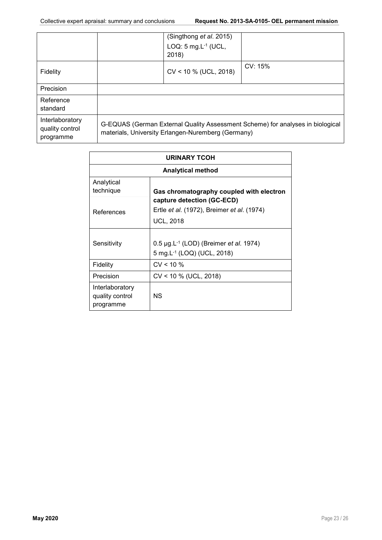|                                                 |                                                                                                                                      | (Singthong et al. 2015)<br>LOQ: $5 \text{ mg.L}^{-1}$ (UCL,<br>2018) |         |
|-------------------------------------------------|--------------------------------------------------------------------------------------------------------------------------------------|----------------------------------------------------------------------|---------|
| Fidelity                                        |                                                                                                                                      | $CV < 10 %$ (UCL, 2018)                                              | CV: 15% |
| Precision                                       |                                                                                                                                      |                                                                      |         |
| Reference<br>standard                           |                                                                                                                                      |                                                                      |         |
| Interlaboratory<br>quality control<br>programme | G-EQUAS (German External Quality Assessment Scheme) for analyses in biological<br>materials, University Erlangen-Nuremberg (Germany) |                                                                      |         |

| <b>URINARY TCOH</b>                             |                                                                                                          |  |  |
|-------------------------------------------------|----------------------------------------------------------------------------------------------------------|--|--|
| <b>Analytical method</b>                        |                                                                                                          |  |  |
| Analytical<br>technique                         | Gas chromatography coupled with electron                                                                 |  |  |
| References                                      | capture detection (GC-ECD)<br>Ertle et al. (1972), Breimer et al. (1974)<br><b>UCL, 2018</b>             |  |  |
| Sensitivity                                     | 0.5 $\mu$ g.L <sup>-1</sup> (LOD) (Breimer <i>et al.</i> 1974)<br>5 mg.L <sup>-1</sup> (LOQ) (UCL, 2018) |  |  |
| Fidelity                                        | CV < 10 %                                                                                                |  |  |
| Precision                                       | CV < 10 % (UCL, 2018)                                                                                    |  |  |
| Interlaboratory<br>quality control<br>programme | <b>NS</b>                                                                                                |  |  |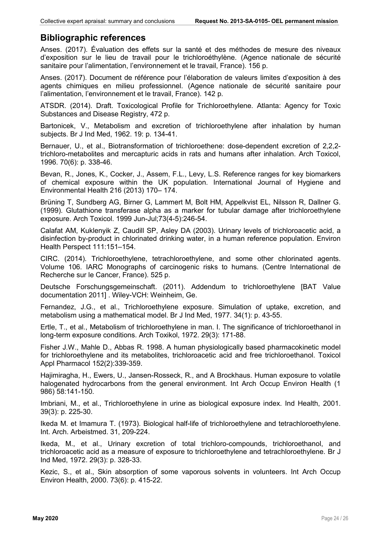## Bibliographic references

Anses. (2017). Évaluation des effets sur la santé et des méthodes de mesure des niveaux d'exposition sur le lieu de travail pour le trichloroéthylène. (Agence nationale de sécurité sanitaire pour l'alimentation, l'environnement et le travail, France). 156 p.

Anses. (2017). Document de référence pour l'élaboration de valeurs limites d'exposition à des agents chimiques en milieu professionnel. (Agence nationale de sécurité sanitaire pour l'alimentation, l'environnement et le travail, France). 142 p.

ATSDR. (2014). Draft. Toxicological Profile for Trichloroethylene. Atlanta: Agency for Toxic Substances and Disease Registry, 472 p.

Bartonicek, V., Metabolism and excretion of trichloroethylene after inhalation by human subjects. Br J Ind Med, 1962. 19: p. 134-41.

Bernauer, U., et al., Biotransformation of trichloroethene: dose-dependent excretion of 2,2,2 trichloro-metabolites and mercapturic acids in rats and humans after inhalation. Arch Toxicol, 1996. 70(6): p. 338-46.

Bevan, R., Jones, K., Cocker, J., Assem, F.L., Levy, L.S. Reference ranges for key biomarkers of chemical exposure within the UK population. International Journal of Hygiene and Environmental Health 216 (2013) 170– 174.

Brüning T, Sundberg AG, Birner G, Lammert M, Bolt HM, Appelkvist EL, Nilsson R, Dallner G. (1999). Glutathione transferase alpha as a marker for tubular damage after trichloroethylene exposure. Arch Toxicol. 1999 Jun-Jul;73(4-5):246-54.

Calafat AM, Kuklenyik Z, Caudill SP, Asley DA (2003). Urinary levels of trichloroacetic acid, a disinfection by-product in chlorinated drinking water, in a human reference population. Environ Health Perspect 111:151–154.

CIRC. (2014). Trichloroethylene, tetrachloroethylene, and some other chlorinated agents. Volume 106. IARC Monographs of carcinogenic risks to humans. (Centre International de Recherche sur le Cancer, France). 525 p.

Deutsche Forschungsgemeinschaft. (2011). Addendum to trichloroethylene [BAT Value documentation 2011] . Wiley-VCH: Weinheim, Ge.

Fernandez, J.G., et al., Trichloroethylene exposure. Simulation of uptake, excretion, and metabolism using a mathematical model. Br J Ind Med, 1977. 34(1): p. 43-55.

Ertle, T., et al., Metabolism of trichloroethylene in man. I. The significance of trichloroethanol in long-term exposure conditions. Arch Toxikol, 1972. 29(3): 171-88.

Fisher J.W., Mahle D., Abbas R. 1998. A human physiologically based pharmacokinetic model for trichloroethylene and its metabolites, trichloroacetic acid and free trichloroethanol. Toxicol Appl Pharmacol 152(2):339-359.

Hajimiragha, H., Ewers, U., Jansen-Rosseck, R., and A Brockhaus. Human exposure to volatile halogenated hydrocarbons from the general environment. Int Arch Occup Environ Health (1 986) 58:141-150.

Imbriani, M., et al., Trichloroethylene in urine as biological exposure index. Ind Health, 2001. 39(3): p. 225-30.

Ikeda M. et Imamura T. (1973). Biological half-life of trichloroethylene and tetrachloroethylene. Int. Arch. Arbeistmed. 31, 209-224.

Ikeda, M., et al., Urinary excretion of total trichloro-compounds, trichloroethanol, and trichloroacetic acid as a measure of exposure to trichloroethylene and tetrachloroethylene. Br J Ind Med, 1972. 29(3): p. 328-33.

Kezic, S., et al., Skin absorption of some vaporous solvents in volunteers. Int Arch Occup Environ Health, 2000. 73(6): p. 415-22.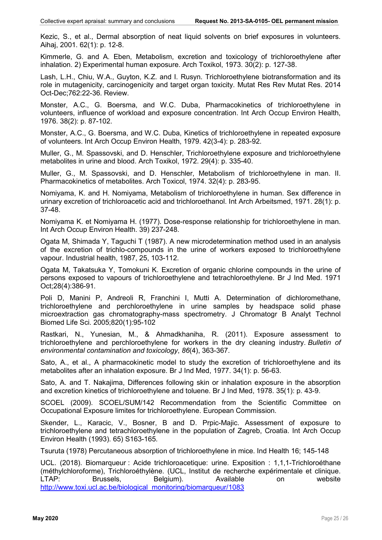Kezic, S., et al., Dermal absorption of neat liquid solvents on brief exposures in volunteers. Aihaj, 2001. 62(1): p. 12-8.

Kimmerle, G. and A. Eben, Metabolism, excretion and toxicology of trichloroethylene after inhalation. 2) Experimental human exposure. Arch Toxikol, 1973. 30(2): p. 127-38.

Lash, L.H., Chiu, W.A., Guyton, K.Z. and I. Rusyn. Trichloroethylene biotransformation and its role in mutagenicity, carcinogenicity and target organ toxicity. Mutat Res Rev Mutat Res. 2014 Oct-Dec;762:22-36. Review.

Monster, A.C., G. Boersma, and W.C. Duba, Pharmacokinetics of trichloroethylene in volunteers, influence of workload and exposure concentration. Int Arch Occup Environ Health, 1976. 38(2): p. 87-102.

Monster, A.C., G. Boersma, and W.C. Duba, Kinetics of trichloroethylene in repeated exposure of volunteers. Int Arch Occup Environ Health, 1979. 42(3-4): p. 283-92.

Muller, G., M. Spassovski, and D. Henschler, Trichloroethylene exposure and trichloroethylene metabolites in urine and blood. Arch Toxikol, 1972. 29(4): p. 335-40.

Muller, G., M. Spassovski, and D. Henschler, Metabolism of trichloroethylene in man. II. Pharmacokinetics of metabolites. Arch Toxicol, 1974. 32(4): p. 283-95.

Nomiyama, K. and H. Nomiyama, Metabolism of trichloroethylene in human. Sex difference in urinary excretion of trichloroacetic acid and trichloroethanol. Int Arch Arbeitsmed, 1971. 28(1): p. 37-48.

Nomiyama K. et Nomiyama H. (1977). Dose-response relationship for trichloroethylene in man. Int Arch Occup Environ Health. 39) 237-248.

Ogata M, Shimada Y, Taguchi T (1987). A new microdetermination method used in an analysis of the excretion of trichlo-compounds in the urine of workers exposed to trichloroethylene vapour. Industrial health, 1987, 25, 103-112.

Ogata M, Takatsuka Y, Tomokuni K. Excretion of organic chlorine compounds in the urine of persons exposed to vapours of trichloroethylene and tetrachloroethylene. Br J Ind Med. 1971 Oct;28(4):386-91.

Poli D, Manini P, Andreoli R, Franchini I, Mutti A. Determination of dichloromethane, trichloroethylene and perchloroethylene in urine samples by headspace solid phase microextraction gas chromatography-mass spectrometry. J Chromatogr B Analyt Technol Biomed Life Sci. 2005;820(1):95-102

Rastkari, N., Yunesian, M., & Ahmadkhaniha, R. (2011). Exposure assessment to trichloroethylene and perchloroethylene for workers in the dry cleaning industry. *Bulletin of environmental contamination and toxicology*, *86*(4), 363-367.

Sato, A., et al., A pharmacokinetic model to study the excretion of trichloroethylene and its metabolites after an inhalation exposure. Br J Ind Med, 1977. 34(1): p. 56-63.

Sato, A. and T. Nakajima, Differences following skin or inhalation exposure in the absorption and excretion kinetics of trichloroethylene and toluene. Br J Ind Med, 1978. 35(1): p. 43-9.

SCOEL (2009). SCOEL/SUM/142 Recommendation from the Scientific Committee on Occupational Exposure limites for trichloroethylene. European Commission.

Skender, L., Karacic, V., Bosner, B and D. Prpic-Majic. Assessment of exposure to trichloroethylene and tetrachloroethylene in the population of Zagreb, Croatia. Int Arch Occup Environ Health (1993). 65) S163-165.

Tsuruta (1978) Percutaneous absorption of trichloroethylene in mice. Ind Health 16; 145-148

UCL. (2018). Biomarqueur : Acide trichloroacetique: urine. Exposition : 1,1,1-Trichloroéthane (méthylchloroforme), Trichloroéthylène. (UCL, Institut de recherche expérimentale et clinique. LTAP: Brussels, Belgium). Available on website http://www.toxi.ucl.ac.be/biological\_monitoring/biomarqueur/1083